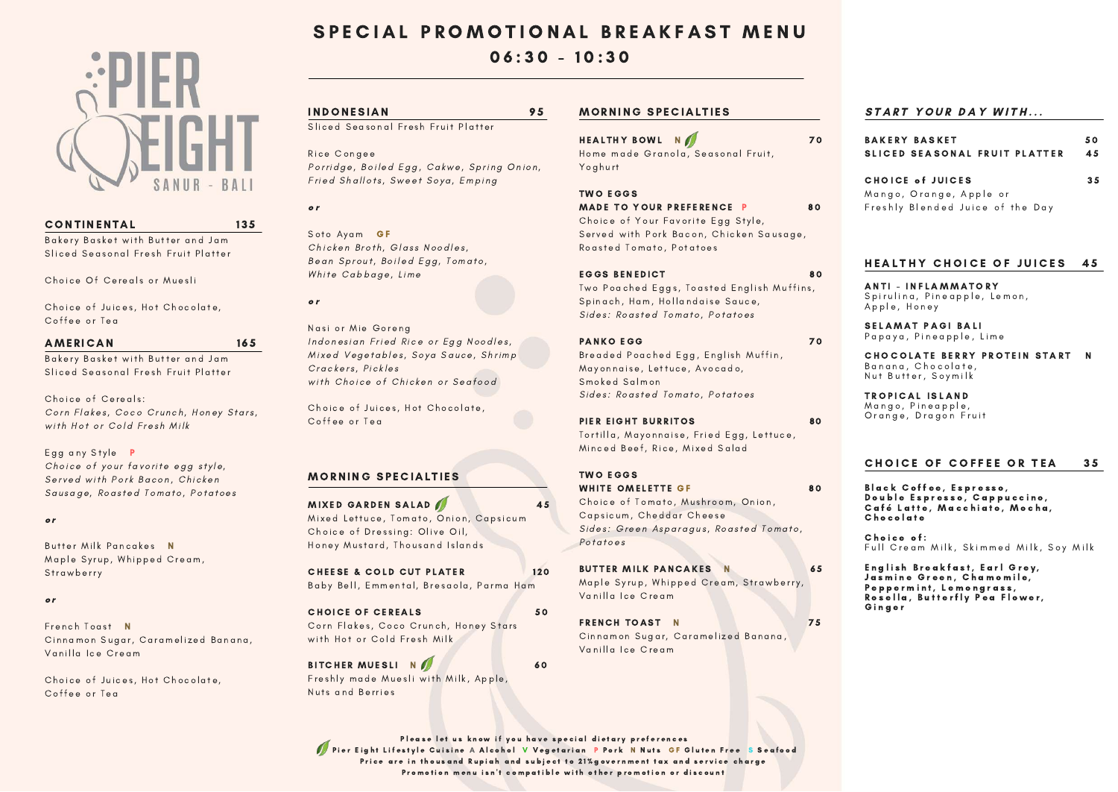

# CONTINENTAL 135

Bakery Basket with Butter and Jam Sliced Seasonal Fresh Fruit Platter

Choice Of Cereals or Muesli

Choice of Juices, Hot Chocolate, Coffee or Tea

# AMERICAN 165

Bakery Basket with Butter and Jam Sliced Seasonal Fresh Fruit Platter

Choice of Cereals: Corn Flakes, Coco Crunch, Honey Stars, with Hot or Cold Fresh Milk

Egg any Style **P** Choice of your favorite egg style, Served with Pork Bacon, Chicken Sausage, Roasted Tomato, Potatoes

## o r

Butter Milk Pancakes N Maple Syrup, Whipped Cream, **Strawberry** 

## o r

French Toast N Cinnamon Sugar, Caramelized Banana, Vanilla Ice Cream

Choice of Juices, Hot Chocolate, Coffee or Tea

# SPECIAL PROMOTIONAL BREAKFAST MENU

# $06:30 - 10:30$

# INDONESIAN 95

Sliced Seasonal Fresh Fruit Platter

Rice Congee Porridge, Boiled Egg, Cakwe, Spring Onion, Fried Shallots, Sweet Soya, Emping

o r

Soto Ayam GF Chicken Broth, Glass Noodles, Bean Sprout, Boiled Egg, Tomato, White Cabbage, Lime

o r

Nasi or Mie Goreng Indonesian Fried Rice or Egg Noodles, Mixed Vegetables, Soya Sauce, Shrimp Crackers, Pickles with Choice of Chicken or Seafood

Choice of Juices, Hot Chocolate, Coffee or Tea

# **MORNING SPECIALTIES**

MIXED GARDEN SALAD 15 Mixed Lettuce, Tomato, Onion, Capsicum Choice of Dressing: Olive Oil, Honey Mustard, Thousand Islands

CHEESE & COLD CUT PLATER 120 Baby Bell, Emmental, Bresaola, Parma Ham

CHOICE OF CEREALS 50 Corn Flakes, Coco Crunch, Honey Stars with Hot or Cold Fresh Milk

BITCHER MUESLI NO 60 Freshly made Muesli with Milk, Apple, Nuts and Berries

# **MORNING SPECIALTIES**

HEALTHY BOWL NOT TO THE TO THE TO THE TO THE TO THE TO THE TO THE TO THE TO THE TO THE TO THE TO THE TO THE TO Home made Granola, Seasonal Fruit, Yoghurt

### TWO EGGS WHITE OMELETTE GF 80

Choice of Tomato, Mushroom, Onion, Capsicum, Cheddar Cheese Sides: Green Asparagus, Roasted Tomato, Potatoes

BUTTER MILK PANCAKES N 65 Maple Syrup, Whipped Cream, Strawberry, Vanilla Ice Cream

FRENCH TOAST N 75 Cinnamon Sugar, Caramelized Banana, Vanilla Ice Cream

Please let us know if you have special dietary preferences Pier Eight Lifestyle Cuisine A Alcohol V Vegetarian P Pork N Nuts GF Gluten Free S Seafood Price are in thousand Rupiah and subject to 21% government tax and service charge Promotion menu isn't compatible with other promotion or discount

# START YOUR DAY WITH...

# TWO EGGS

MADE TO YOUR PREFERENCE P 80

Choice of Your Favorite Egg Style, Served with Pork Bacon, Chicken Sausage, Roasted Tomato, Potatoes

# EGGS BENEDICT 80

Two Poached Eggs, Toasted English Muffins, Spinach, Ham, Hollandaise Sauce, Sides: Roasted Tomato, Potatoes

# PANKO EGG 70

Breaded Poached Egg, English Muffin, Mayonnaise, Lettuce, Avocado, Smoked Salmon Sides: Roasted Tomato, Potatoes

# PIER EIGHT BURRITOS 80

Tortilla, Mayonnaise, Fried Egg, Lettuce, Minced Beef, Rice, Mixed Salad

> English Breakfast, Earl Grey, Jasmine Green, Chamomile, Peppermint, Lemongrass, Rosella, Butterfly Pea Flower, G i n g e r

| <b>BAKERY BASKET</b><br>SLICED SEASONAL FRUIT PLATTER | 50<br>45 |
|-------------------------------------------------------|----------|
| CHOICE of JUICES                                      | 35       |
| Mango, Orange, Apple or                               |          |
| Freshly Blended Juice of the Day                      |          |

# HEALTHY CHOICE OF JUICES 45

ANTI - INFLAMMATORY Spirulina, Pineapple, Lemon, Apple, Honey

SELAMAT PAGI BALI Papaya, Pineapple, Lime

#### CHOCOLATE BERRY PROTEIN START N Banana, Chocolate, Nut Butter, Soymilk

TROPICAL ISLAND

Mango, Pineapple, Orange, Dragon Fruit

## CHOICE OF COFFEE OR TEA 35

Black Coffee, Espresso, Double Espresso, Cappuccino, Café Latte, Macchiato, Mocha, Chocolate

Choice of: Full Cream Milk, Skimmed Milk, Soy Milk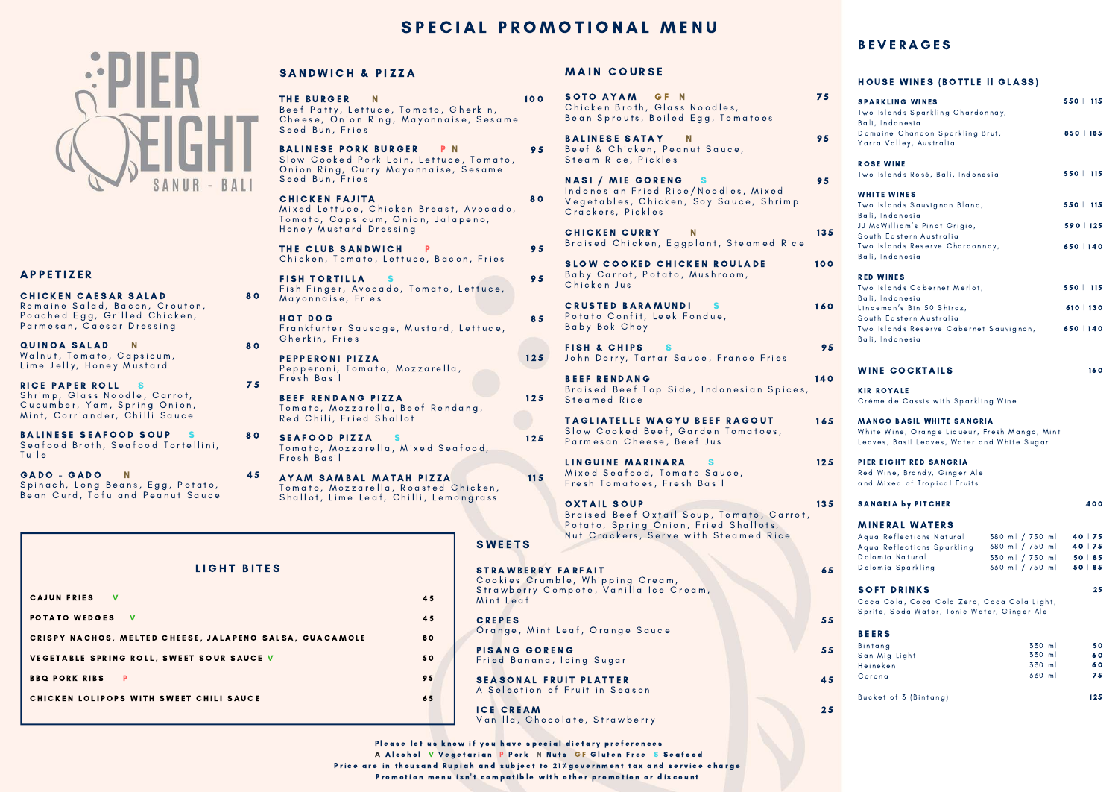THE BURGER N Beef Patty, Lettuce, Tomato, Gherkin, Cheese, Onion Ring, Mayonnaise, Sesame Seed Bun, Fries BALINESE PORK BURGER PN Slow Cooked Pork Loin, Lettuce, Tomato, Onion Ring, Curry Mayonnaise, Sesame Seed Bun, Fries **CHICKEN FAJITA** Mixed Lettuce, Chicken Breast, Avocado, Tomato, Capsicum, Onion, Jalapeno, Honey Mustard Dressing 9 8 0

THE CLUB SANDWICH P Chicken, Tomato, Lettuce, Bacon, Fries

**FISH TORTILLA** S Fish Finger, Avocado, Tomato, Lettuce, Mayonnaise, Fries

HOT DOG Frankfurter Sausage, Mustard, Lettuce, Gherkin, Fries

PEPPERONI PIZZA Pepperoni, Tomato, Mozzarella, Fresh Basil

BEEF RENDANG PIZZA Tomato, Mozzarella, Beef Rendang, Red Chili, Fried Shallot

- SEAFOOD PIZZA S Tomato, Mozzarella, Mixed Seafood, Fresh Basil 8 0
	- AYAM SAMBAL MATAH PIZZA Tomato, Mozzarella, Roasted Chicken, Shallot, Lime Leaf, Chilli, Lemongrass

| rkin,<br>Sesame                        | 100 | SOTO AYAM GF N<br>Chicken Broth, Glass Noodles,<br>Bean Sprouts, Boiled Egg, Tomatoes                                                             | 75  |
|----------------------------------------|-----|---------------------------------------------------------------------------------------------------------------------------------------------------|-----|
| omato,<br>same                         | 95  | <b>BALINESE SATAY</b><br>N<br>Beef & Chicken, Peanut Sauce,<br>Steam Rice, Pickles                                                                | 95  |
| ocado,<br>no,                          | 80  | <b>NASI / MIE GORENG</b><br>- s<br>Indonesian Fried Rice/Noodles, Mixed<br>Vegetables, Chicken, Soy Sauce, Shrimp<br>Crackers, Pickles            | 95  |
|                                        | 95  | <b>CHICKEN CURRY</b><br>N<br>Braised Chicken, Eggplant, Steamed Rice                                                                              | 135 |
| Fries<br>tuce,                         | 95  | <b>SLOW COOKED CHICKEN ROULADE</b><br>Baby Carrot, Potato, Mushroom,<br>Chicken Jus                                                               | 100 |
| tuce,                                  | 85  | <b>CRUSTED BARAMUNDI</b><br>Potato Confit, Leek Fondue,<br>Baby Bok Choy                                                                          | 160 |
|                                        | 125 | <b>FISH &amp; CHIPS</b><br>John Dorry, Tartar Sauce, France Fries                                                                                 | 95  |
| g ,                                    | 125 | <b>BEEF RENDANG</b><br>Braised Beef Top Side, Indonesian Spices,<br>Steamed Rice                                                                  | 140 |
| эd,                                    | 125 | <b>TAGLIATELLE WAGYU BEEF RAGOUT</b><br>Slow Cooked Beef, Garden Tomatoes,<br>Parmesan Cheese, Beef Jus                                           | 165 |
| :ken,                                  | 115 | <b>LINGUINE MARINARA</b><br>Mixed Seafood, Tomato Sauce,<br>Fresh Tomatoes, Fresh Basil                                                           | 125 |
| rass<br><b>SWEETS</b>                  |     | <b>OXTAIL SOUP</b><br>Braised Beef Oxtail Soup, Tomato, Carrot,<br>Potato, Spring Onion, Fried Shallots,<br>Nut Crackers, Serve with Steamed Rice | 135 |
| <b>STRAWBERRY FARFAIT</b><br>Mint Leaf |     | Cookies Crumble, Whipping Cream,<br>Strawberry Compote, Vanilla Ice Cream,                                                                        | 65  |
| <b>CREPES</b>                          |     | Orange, Mint Leaf, Orange Sauce                                                                                                                   | 55  |
| <b>PISANG GORENG</b>                   |     | Fried Banana, Icing Sugar                                                                                                                         | 55  |
|                                        |     | <b>SEASONAL FRUIT PLATTER</b><br>A Selection of Fruit in Season                                                                                   | 45  |
| <b>ICE CREAM</b>                       |     | Vanilla, Chocolate, Strawberry                                                                                                                    | 25  |

Please let us know if you have special dietary preferences A Alcohol V Vegetarian P Pork N Nuts GF Gluten Free S Seafood Price are in thousand Rupiah and subject to 21% government tax and service charge

Promotion menu isn't compatible with other promotion or discount

# **BEVERAGES**

### HOUSE WINES (BOTTLE II GLASS)

| <b>SPARKLING WINES</b><br>Two Islands Sparkling Chardonnay,                                                                                                                               |                                                                          | $550$   115                              |
|-------------------------------------------------------------------------------------------------------------------------------------------------------------------------------------------|--------------------------------------------------------------------------|------------------------------------------|
| Bali, Indonesia<br>Domaine Chandon Sparkling Brut,<br>Yarra Valley, Australia                                                                                                             |                                                                          | 850   185                                |
| <b>ROSE WINE</b><br>Two Islands Rosé, Bali, Indonesia                                                                                                                                     |                                                                          | $550$   115                              |
| <b>WHITE WINES</b><br>Two Islands Sauvignon Blanc,<br>Bali, Indonesia<br>JJ McWilliam's Pinot Grigio,<br>South Eastern Australia<br>Two Islands Reserve Chardonnay,<br>Bali, Indonesia    |                                                                          | $550$   115<br>$590$   125<br>650   140  |
| <b>RED WINES</b><br>Two Islands Cabernet Merlot,<br>Bali, Indonesia<br>Lindeman's Bin 50 Shiraz,<br>South Eastern Australia<br>Two Islands Reserve Cabernet Sauvignon,<br>Bali, Indonesia |                                                                          | $550$   115<br>$610$   130<br>650   140  |
| <b>WINE COCKTAILS</b>                                                                                                                                                                     |                                                                          | 160                                      |
| <b>KIR ROYALE</b><br>Créme de Cassis with Sparkling Wine                                                                                                                                  |                                                                          |                                          |
| <b>MANGO BASIL WHITE SANGRIA</b><br>White Wine, Orange Liqueur, Fresh Mango, Mint<br>Leaves, Basil Leaves, Water and White Sugar                                                          |                                                                          |                                          |
| PIER EIGHT RED SANGRIA<br>Red Wine, Brandy, Ginger Ale<br>and Mixed of Tropical Fruits                                                                                                    |                                                                          |                                          |
| <b>SANGRIA by PITCHER</b>                                                                                                                                                                 |                                                                          | 400                                      |
| <b>MINERAL WATERS</b><br>Aqua Reflections Natural<br>Aqua Reflections Sparkling<br>Dolomia Natural<br>Dolomia Sparkling                                                                   | 380 ml / 750 ml<br>380 ml / 750 ml<br>330 ml / 750 ml<br>330 ml / 750 ml | $40$   75<br>40 75<br>50   85<br>50   85 |
| <b>SOFT DRINKS</b><br>Coca Cola, Coca Cola Zero, Coca Cola Light,<br>Sprite, Soda Water, Tonic Water, Ginger Ale                                                                          |                                                                          | 25                                       |
| <b>BEERS</b><br>Bintang<br>San Mig Light<br>Heineken<br>Corona                                                                                                                            | 330 ml<br>330 ml<br>330 ml<br>330 ml                                     | 50<br>60<br>60<br>75                     |

Bucket of 3 (Bintang)

 $125$ 

| LIGHT BITES                                             |    |
|---------------------------------------------------------|----|
| CAJUN FRIES V                                           | 45 |
| POTATO WEDGES V                                         | 45 |
| CRISPY NACHOS, MELTED CHEESE, JALAPENO SALSA, GUACAMOLE | 80 |
| VEGETABLE SPRING ROLL, SWEET SOUR SAUCE V               | 50 |
| <b>BBQ PORK RIBS</b><br>P                               | 95 |
| CHICKEN LOLIPOPS WITH SWEET CHILI SAUCE                 | 65 |
|                                                         |    |

8 0

8 0

7 5

4 5

# **MAIN COURSE**

# SPECIAL PROMOTIONAL MENU



# **A P P E T I Z E R**

CHICKEN CAESAR SALAD Romaine Salad, Bacon, Crouton, Poached Egg, Grilled Chicken, Parmesan, Caesar Dressing

QUINOA SALAD N Walnut, Tomato, Capsicum, Lime Jelly, Honey Mustard

RICE PAPER ROLL S Shrimp, Glass Noodle, Carrot, Cucumber, Yam, Spring Onion, Mint, Corriander, Chilli Sauce

BALINESE SEAFOOD SOUP S Seafood Broth, Seafood Tortellini, **Tuile** 

GADO - GADO N Spinach, Long Beans, Egg, Potato, Bean Curd, Tofu and Peanut Sauce

# SANDWICH & PIZZA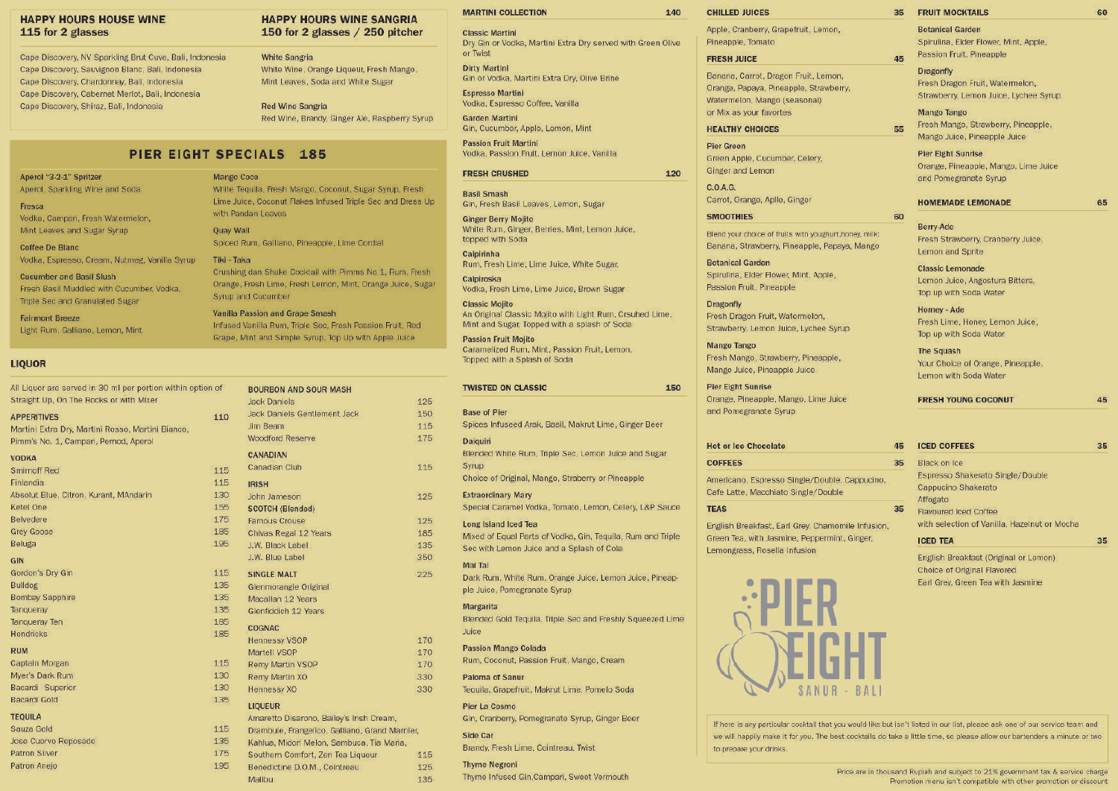#### **HAPPY HOURS HOUSE WINE** 115 for 2 glasses

Cape Discovery, NV Sparkling Brut Cuve, Bali, Indonesia Cape Discovery, Sauvignon Blanc, Bali, Indonesia Cape Discovery, Chardonnay, Bali, Indonesia Cape Discovery, Cabernet Merlot, Bali, Indonesia Cape Discovery, Shiraz, Bali, Indonesia

#### **HAPPY HOURS WINE SANGRIA** 150 for 2 glasses / 250 pitcher

**White Sangria** White Wine, Orange Liqueur, Fresh Mango, Mint Leaves, Soda and White Sugar

**Red Wine Sangria** Red Wine, Brandy, Ginger Ale, Raspberry Syrup

# PIER EIGHT SPECIALS 185

#### Aperol "3-2-1" Spritzer Aperol, Sparkling Wine and Soda

Fresca Vodka, Campari, Fresh Watermeton, Mint Leaves and Sugar Syrup

Coffee De Blanc Vodka, Espresso, Cream, Nutmeg, Vanilla Syrup

#### **Cucumber and Basil Slush** Fresh Basil Muddled with Cucumber, Vodka.

Triple Sec and Granulated Sugar **Fairmont Breeze** 

Light Rum, Galliano, Lemon, Mint

#### **LIOUOR**

All Liquor are served in 30 ml per portion within option Straight Up, On The Rocks or with Mixer

#### **APPERITIVES**

Martini Extra Dry, Martini Rosso, Martini Bianco, Pimm's No. 1, Campari, Pernod, Aperol

| <b>VODKA</b>                           |
|----------------------------------------|
| Smirnoff Red                           |
| Finlandia                              |
| Absolut Blue, Citron, Kurant, MAndarin |
| Ketel One                              |
| Belvedere                              |
| <b>Grey Goose</b>                      |
| Beluga                                 |
| GIN                                    |
| Gordon's Dry Gin                       |
| Bulldog                                |
| <b>Bombay Sapphire</b>                 |
| Tanqueray                              |
| Tangueray Ten                          |
| <b>Hendricks</b>                       |
| <b>RUM</b>                             |
| Captain Morgan                         |
| Myer's Dark Rum                        |
| Bacardi Superior                       |
| Bacardi Gold                           |

#### **TEQUILA**

Sauza Gold Jose Cuervo Reposado **Patron Silver** 

Patron Aneio

#### **Mango Coco** White Tequila, Fresh Mango, Coconut, Sugar Syrup, Fresh Lime Juice, Coconut Flakes Infused Triple Sec and Dress Up with Pandan Leaves

**Ouav Wall** Spiced Rum, Galliano, Pineapple, Lime Cordial

#### Tiki - Taka Crushing dan Shake Cocktail with Pimms No 1, Rum, Fresh Orange, Fresh Lime, Fresh Lemon, Mint, Orange Juice, Sugar Syrup and Cucumber

Vanilla Passion and Grape Smash Infused Vanilla Rum, Triple Sec. Fresh Passion Fruit, Red Grape, Mint and Simple Syrup, Top Up with Apple Juice

| 0Ť  | <b>BOURBON AND SOUR MASH</b>           |
|-----|----------------------------------------|
|     | Jack Daniels                           |
| 110 | <b>Jack Daniels Gentlement Jack</b>    |
|     | Jim Beam                               |
|     | <b>Woodford Reserve</b>                |
|     | CANADIAN                               |
| 115 | Canadian Club                          |
| 115 | <b>IRISH</b>                           |
| 130 | John Jameson                           |
| 155 | <b>SCOTCH (Blended)</b>                |
| 175 | <b>Famous Crouse</b>                   |
| 185 | Chivas Regal 12 Years                  |
| 195 | J.W. Black Label                       |
|     | J.W. Blue Label                        |
| 115 | <b>SINGLE MALT</b>                     |
| 135 | Glenmorangie Original                  |
| 135 | Macallan 12 Years                      |
| 135 | Glenfiddich 12 Years                   |
| 185 | <b>COGNAC</b>                          |
| 185 | <b>Hennessy VSOP</b>                   |
|     | Martell VSOP                           |
| 115 | <b>Remy Martin VSOP</b>                |
| 130 | Remy Martin XO                         |
| 130 | <b>Hennessy XO</b>                     |
| 135 | <b>LIOUEUR</b>                         |
|     | Amaretto Disarono, Bailey's Irish Crea |
| 115 | Drambuie, Frangelico, Galliano, Grand  |
| 135 | Kahlua, Midori Melon, Sambuca, Tia I   |
| 175 | Southern Comfort, Zen Tea Liqueur      |
| 195 | Benedictine D.O.M., Cointreau          |
|     | Malihu.                                |

#### **MARTINI COLLECTION**

**Classic Martini** Dry Gin or Vodka, Martini Extra Dry served with Green Olive or Twist

**Dirty Martini** Gin or Vodka, Martini Extra Dry, Olive Brine

**Espresso Martini** Vodka, Espresso Coffee, Vanilla

**Garden Martini** Gin, Cucumber, Apple, Lemon, Mint

**Passion Fruit Martini** Vodka, Passion Fruit, Lemon Juice, Vanilla

#### **FRESH CRUSHED**

125

150

115

175

115

125

125

185

135

350

225

115

125

135

m.

Marnier,

Aaria,

**Rasil Smash** Gin, Fresh Basil Leaves, Lemon, Sugar

**Ginger Berry Mojito** White Rum, Ginger, Berries, Mint, Lemon Juice, topped with Soda

Caipirinha Rum, Fresh Lime, Lime Juice, White Sugar,

Caipiroska Vodka, Fresh Lime, Lime Juice, Brown Sugar

**Classic Moilto** An Original Classic Mojito with Light Rum, Crsuhed Lime, Mint and Sugar, Topped with a splash of Soda

**Passion Fruit Moilto** Caramelized Rum, Mint, Passion Fruit, Lemon, Topped with a Splash of Soda

| <b>TWISTED ON CLASSIC</b>                                                               | 150 |
|-----------------------------------------------------------------------------------------|-----|
| <b>Base of Pier</b>                                                                     |     |
| Spices Infuseed Arak, Basil, Makrut Lime, Ginger Beer                                   |     |
| Daiguiri                                                                                |     |
| Blended White Rum, Triple Sec, Lemon Juice and Sugar                                    |     |
| <b>Syrup</b>                                                                            |     |
| Choice of Original, Mango, Straberry or Pineapple                                       |     |
| <b>Extraordinary Mary</b>                                                               |     |
| Special Caramel Vodka, Tomato, Lemon, Celery, L&P Sauce                                 |     |
| Long Island Iced Tea                                                                    |     |
| Mixed of Equal Parts of Vodka, Gin, Tequila, Rum and Triple                             |     |
| Sec with Lemon Juice and a Splash of Cola                                               |     |
| Mai Tai                                                                                 |     |
| Dark Rum, White Rum, Orange Juice, Lemon Juice, Pineap-<br>ple Juice, Pomegranate Syrup |     |
|                                                                                         |     |
| Margarita<br>Blended Gold Tequila, Triple Sec and Freshly Squeezed Lime                 |     |
| Juice                                                                                   |     |
| Passion Mango Colada                                                                    |     |
| Rum, Coconut, Passion Fruit, Mango, Cream                                               |     |
| Paloma of Sanur                                                                         |     |
| Tequila, Grapefruit, Makrut Lime, Pomelo Soda                                           |     |
| Pier La Cosmo                                                                           |     |
| Gin, Cranberry, Pomegranate Syrup, Ginger Beer                                          |     |
| Side Car                                                                                |     |
| Brandy, Fresh Lime, Cointreau, Twist                                                    |     |

#### **Thyme Negroni** Thyme Infused Gin, Campari, Sweet Vermouth

## **CHILLED JUICES**

140

120

Apple, Cranberry, Grapefruit, Lemon, Pineapple, Tomato

35

45

55

60

**FRUIT MOCKTAILS** 

**Botanical Garden** 

Dragonfly

**Mango Tango** 

**Pier Eight Sunrise** 

Berry-Ade

Lemon and Sprite

**Classic Lemonade** 

Homey - Ade

The Squash

Top up with Soda Water

Top up with Soda Water

Lemon with Soda Water

**FRESH YOUNG COCONUT** 

and Pomegranate Syrup

**HOMEMADE LEMONADE** 

Passion Fruit, Pineapple

Spirulina, Elder Flower, Mint, Apple.

Fresh Dragon Fruit, Watermelon,

Strawberry, Lemon Juice, Lychee Syrup

Fresh Mango, Strawberry, Pineapple,

Orange, Pineapple, Mango, Lime Juice

Fresh Strawberry, Cranberry Juice,

Lemon Juice, Angostura Bitters.

Fresh Lime, Honey, Lemon Juice,

Your Choice of Orange, Pineapple,

Mango Juice, Pineapple Juice

#### **FRESH JUICE**

Banana, Carrot, Dragon Fruit, Lemon, Orange, Papaya, Pineapple, Strawberry, Watermelon, Mango (seasonal) or Mix as your favortes

#### **HEALTHY CHOICES**

Pier Green Green Apple, Cucumber, Celery, Ginger and Lemon

 $C.A.G$ Carrot, Orange, Apile, Ginger

#### **SMOOTHIES**

Blend your choice of fruits with youghurt, honey, milk: Banana, Strawberry, Pineapple, Papaya, Mango

**Botanical Garden** Spirulina, Elder Flower, Mint. Apple. Passion Fruit, Pineapple

Dragonfly Fresh Dragon Fruit, Watermelon, Strawberry, Lemon Juice, Lychee Syrup

**Mango Tango** Fresh Mango, Strawberry, Pineapple, Mango Juice, Pineapple Juice

**Pier Eight Sunrise** Orange, Pineapple, Mango, Lime Juice and Pomegranate Syrup

Hot COF

Ame  $Cat$ 

**TEA** 

| or Ice Chocolate                                                             |  |
|------------------------------------------------------------------------------|--|
| <b>FEES</b>                                                                  |  |
| ricano, Espresso Single/Double, Cappucino,<br>Latte, Macchiato Single/Double |  |
| S                                                                            |  |
| ish Breakfast, Earl Grev, Chamomile Infusion,                                |  |

Engl Green Tea, with Jasmine, Peppermint, Ginger, Lemongrass, Rosella Infusion



| 45 | <b>ICED COFFEES</b> | 35. |
|----|---------------------|-----|
| 35 | Black on Ice        |     |

| Espresso Shakerato Single/Double |  |
|----------------------------------|--|
| Cappucino Shakerato              |  |
| Affogato                         |  |
| <b>Flavoured lced Coffee</b>     |  |

with selection of Vanilla. Hazelnut or Mocha **ICED TEA** 

English Breakfast (Original or Lemon) Choice of Original Flavored Earl Grey, Green Tea with Jasmine

If here is any particular cocktail that you would like but isn't listed in our list, please ask one of our service team and we will happily make it for you. The best cocktails do take a little time, so please allow our bartenders a minute or two to prepare your drinks.

 $65$ 

45

35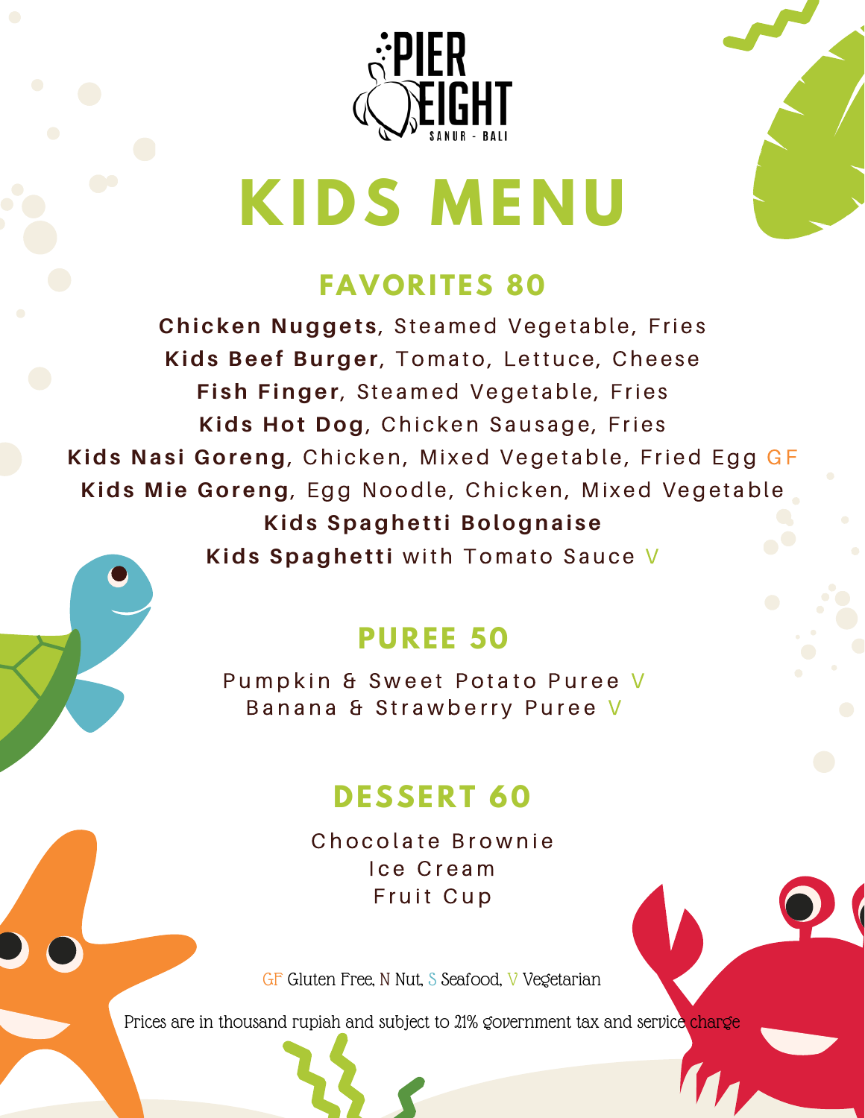



# **KIDS MENU**

# **FAVORITES 80**

**Chicken Nuggets, Steamed Vegetable, Fries Kids Beef Burger**, Tomato, Lettuce, Cheese **Fish Finger**, Steamed Vegetable, Fries **Kids Hot Dog**, Chicken Sausage, Fries **Kids Nasi Goreng**, Chicken, Mixed Vegetable, Fried Egg GF **Kids Mie Goreng**, Egg Noodle, Chicken, Mixed Vegetable **Kids Spaghetti Bolognaise Kids Spaghetti** with Tomato Sauce V

# **PUREE 50**

Pumpkin & Sweet Potato Puree V Banana & Strawberry Puree V

# **DESSERT 60**

Chocolate Brownie Ice Cream Fruit Cup

GF Gluten Free, N Nut, S Seafood, V Vegetarian

Prices are in thousand rupiah and subject to 21% government tax and service charge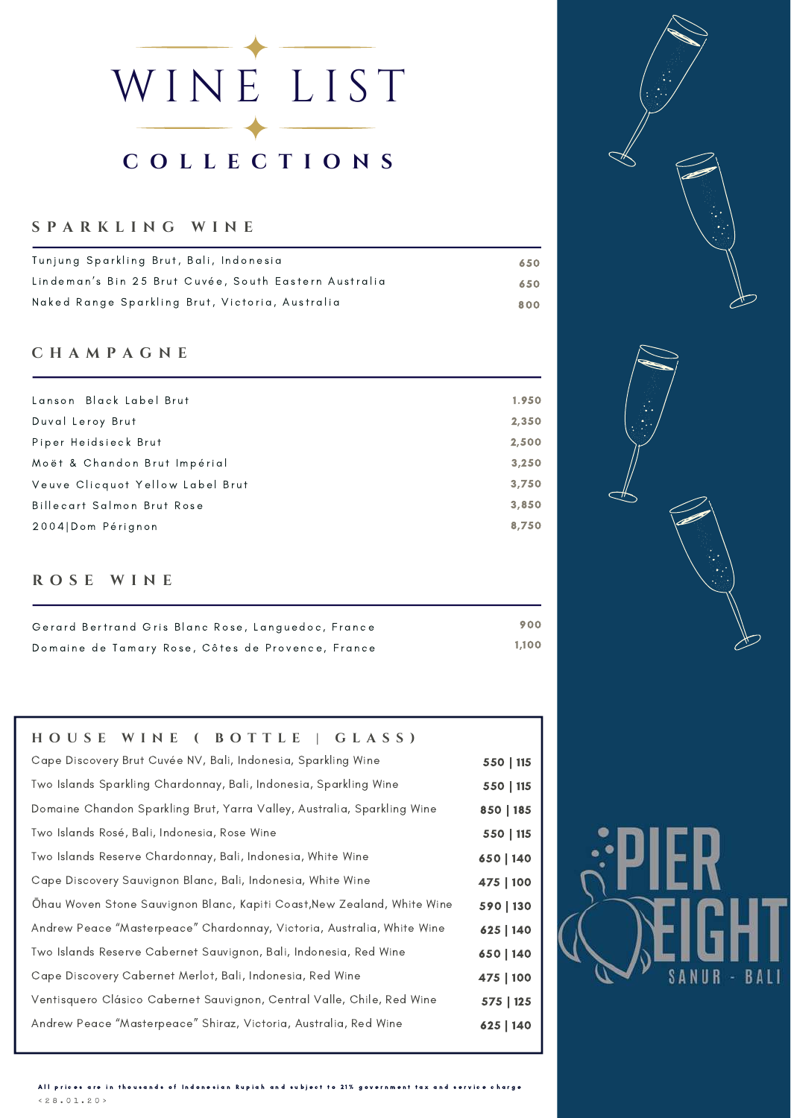# WINE LIST **C O L L E C T I O N S**

# **S P A R K L I N G W I N E**

| Tunjung Sparkling Brut, Bali, Indonesia               | 650 |
|-------------------------------------------------------|-----|
| Lindeman's Bin 25 Brut Cuvée, South Eastern Australia | 650 |
| Naked Range Sparkling Brut, Victoria, Australia       | 800 |

# **C H A M P A G N E**

| Lanson Black Label Brut          | 1.950 |
|----------------------------------|-------|
| Duval Leroy Brut                 | 2,350 |
| Piper Heidsieck Brut             | 2,500 |
| Moët & Chandon Brut Impérial     | 3,250 |
| Veuve Clicquot Yellow Label Brut | 3,750 |
| Billecart Salmon Brut Rose       | 3,850 |
| 2004 Dom Pérignon                | 8,750 |
|                                  |       |

# **R O S E W I N E**

| Gerard Bertrand Gris Blanc Rose, Languedoc, France | 900   |
|----------------------------------------------------|-------|
| Domaine de Tamary Rose, Côtes de Provence, France  | 1.100 |

# **H O U S E W I N E ( B O T T L E | G L A S S )**

| Cape Discovery Brut Cuvée NV, Bali, Indonesia, Sparkling Wine           | 550   115 |
|-------------------------------------------------------------------------|-----------|
| Two Islands Sparkling Chardonnay, Bali, Indonesia, Sparkling Wine       | 550   115 |
| Domaine Chandon Sparkling Brut, Yarra Valley, Australia, Sparkling Wine | 850   185 |
| Two Islands Rosé, Bali, Indonesia, Rose Wine                            | 550   115 |
| Two Islands Reserve Chardonnay, Bali, Indonesia, White Wine             | 650   140 |
| Cape Discovery Sauvignon Blanc, Bali, Indonesia, White Wine             | 475   100 |
| Ohau Woven Stone Sauvignon Blanc, Kapiti Coast, New Zealand, White Wine | 590   130 |
| Andrew Peace "Masterpeace" Chardonnay, Victoria, Australia, White Wine  | 625   140 |
| Two Islands Reserve Cabernet Sauvignon, Bali, Indonesia, Red Wine       | 650   140 |
| Cape Discovery Cabernet Merlot, Bali, Indonesia, Red Wine               | 475   100 |
| Ventisquero Clásico Cabernet Sauvignon, Central Valle, Chile, Red Wine  | 575   125 |
| Andrew Peace "Masterpeace" Shiraz, Victoria, Australia, Red Wine        | 625   140 |
|                                                                         |           |